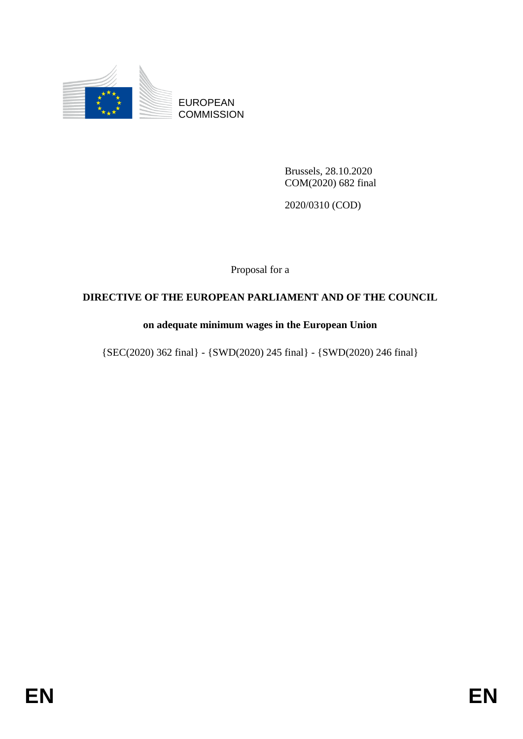

EUROPEAN **COMMISSION** 

> Brussels, 28.10.2020 COM(2020) 682 final

2020/0310 (COD)

Proposal for a

# **DIRECTIVE OF THE EUROPEAN PARLIAMENT AND OF THE COUNCIL**

# **on adequate minimum wages in the European Union**

{SEC(2020) 362 final} - {SWD(2020) 245 final} - {SWD(2020) 246 final}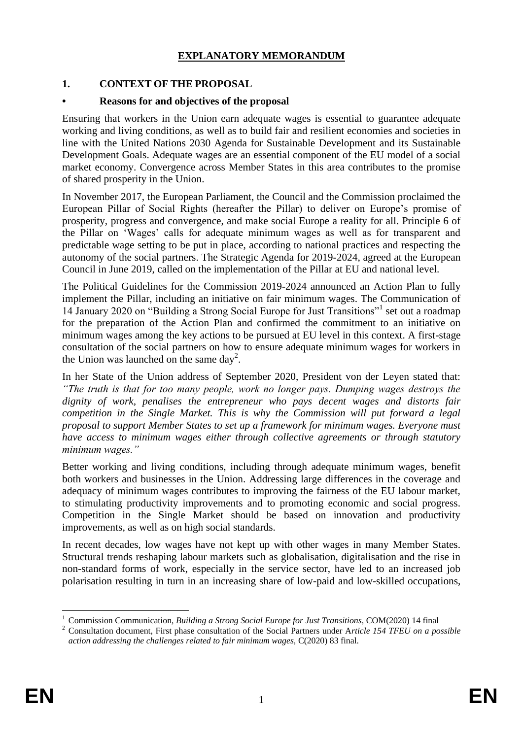# **EXPLANATORY MEMORANDUM**

### **1. CONTEXT OF THE PROPOSAL**

### **• Reasons for and objectives of the proposal**

Ensuring that workers in the Union earn adequate wages is essential to guarantee adequate working and living conditions, as well as to build fair and resilient economies and societies in line with the United Nations 2030 Agenda for Sustainable Development and its Sustainable Development Goals. Adequate wages are an essential component of the EU model of a social market economy. Convergence across Member States in this area contributes to the promise of shared prosperity in the Union.

In November 2017, the European Parliament, the Council and the Commission proclaimed the European Pillar of Social Rights (hereafter the Pillar) to deliver on Europe's promise of prosperity, progress and convergence, and make social Europe a reality for all. Principle 6 of the Pillar on 'Wages' calls for adequate minimum wages as well as for transparent and predictable wage setting to be put in place, according to national practices and respecting the autonomy of the social partners. The [Strategic Agenda for 2019-2024,](https://www.consilium.europa.eu/en/press/press-releases/2019/06/20/a-new-strategic-agenda-2019-2024/) agreed at the European Council in June 2019, called on the implementation of the Pillar at EU and national level.

The Political Guidelines for the Commission 2019-2024 announced an Action Plan to fully implement the Pillar, including an initiative on fair minimum wages. The Communication of 14 January 2020 on "Building a Strong Social Europe for Just Transitions"<sup>1</sup> set out a roadmap for the preparation of the Action Plan and confirmed the commitment to an initiative on minimum wages among the key actions to be pursued at EU level in this context. A first-stage consultation of the social partners on how to ensure adequate minimum wages for workers in the Union was launched on the same day<sup>2</sup>.

In her State of the Union address of September 2020, President von der Leyen stated that: *"The truth is that for too many people, work no longer pays. Dumping wages destroys the dignity of work, penalises the entrepreneur who pays decent wages and distorts fair competition in the Single Market. This is why the Commission will put forward a legal proposal to support Member States to set up a framework for minimum wages. Everyone must have access to minimum wages either through collective agreements or through statutory minimum wages."*

Better working and living conditions, including through adequate minimum wages, benefit both workers and businesses in the Union. Addressing large differences in the coverage and adequacy of minimum wages contributes to improving the fairness of the EU labour market, to stimulating productivity improvements and to promoting economic and social progress. Competition in the Single Market should be based on innovation and productivity improvements, as well as on high social standards.

In recent decades, low wages have not kept up with other wages in many Member States. Structural trends reshaping labour markets such as globalisation, digitalisation and the rise in non-standard forms of work, especially in the service sector, have led to an increased job polarisation resulting in turn in an increasing share of low-paid and low-skilled occupations,

<sup>1</sup> <sup>1</sup> Commission Communication, *Building a Strong Social Europe for Just Transitions,* COM(2020) 14 final

<sup>2</sup> Consultation document, First phase consultation of the Social Partners under A*rticle 154 TFEU on a possible action addressing the challenges related to fair minimum wages,* C(2020) 83 final.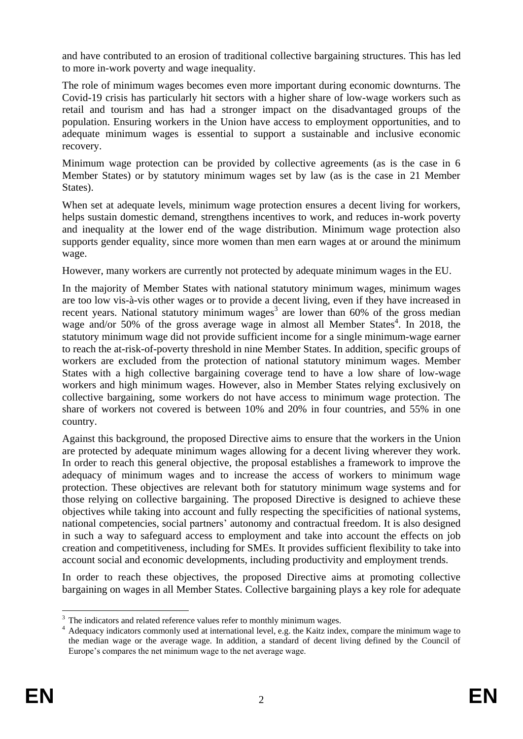and have contributed to an erosion of traditional collective bargaining structures. This has led to more in-work poverty and wage inequality.

The role of minimum wages becomes even more important during economic downturns. The Covid-19 crisis has particularly hit sectors with a higher share of low-wage workers such as retail and tourism and has had a stronger impact on the disadvantaged groups of the population. Ensuring workers in the Union have access to employment opportunities, and to adequate minimum wages is essential to support a sustainable and inclusive economic recovery.

Minimum wage protection can be provided by collective agreements (as is the case in 6 Member States) or by statutory minimum wages set by law (as is the case in 21 Member States).

When set at adequate levels, minimum wage protection ensures a decent living for workers, helps sustain domestic demand, strengthens incentives to work, and reduces in-work poverty and inequality at the lower end of the wage distribution. Minimum wage protection also supports gender equality, since more women than men earn wages at or around the minimum wage.

However, many workers are currently not protected by adequate minimum wages in the EU.

In the majority of Member States with national statutory minimum wages, minimum wages are too low vis-à-vis other wages or to provide a decent living, even if they have increased in recent years. National statutory minimum wages<sup>3</sup> are lower than  $60\%$  of the gross median wage and/or 50% of the gross average wage in almost all Member States<sup>4</sup>. In 2018, the statutory minimum wage did not provide sufficient income for a single minimum-wage earner to reach the at-risk-of-poverty threshold in nine Member States. In addition, specific groups of workers are excluded from the protection of national statutory minimum wages. Member States with a high collective bargaining coverage tend to have a low share of low-wage workers and high minimum wages. However, also in Member States relying exclusively on collective bargaining, some workers do not have access to minimum wage protection. The share of workers not covered is between 10% and 20% in four countries, and 55% in one country.

Against this background, the proposed Directive aims to ensure that the workers in the Union are protected by adequate minimum wages allowing for a decent living wherever they work. In order to reach this general objective, the proposal establishes a framework to improve the adequacy of minimum wages and to increase the access of workers to minimum wage protection. These objectives are relevant both for statutory minimum wage systems and for those relying on collective bargaining. The proposed Directive is designed to achieve these objectives while taking into account and fully respecting the specificities of national systems, national competencies, social partners' autonomy and contractual freedom. It is also designed in such a way to safeguard access to employment and take into account the effects on job creation and competitiveness, including for SMEs. It provides sufficient flexibility to take into account social and economic developments, including productivity and employment trends.

In order to reach these objectives, the proposed Directive aims at promoting collective bargaining on wages in all Member States. Collective bargaining plays a key role for adequate

<sup>1</sup>  $3$  The indicators and related reference values refer to monthly minimum wages.

<sup>4</sup> Adequacy indicators commonly used at international level, e.g. the Kaitz index, compare the minimum wage to the median wage or the average wage. In addition, a standard of decent living defined by the Council of Europe's compares the net minimum wage to the net average wage.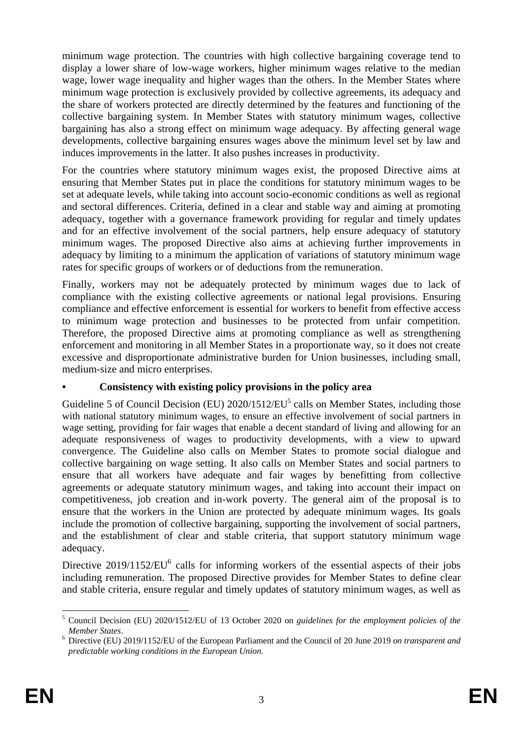minimum wage protection. The countries with high collective bargaining coverage tend to display a lower share of low-wage workers, higher minimum wages relative to the median wage, lower wage inequality and higher wages than the others. In the Member States where minimum wage protection is exclusively provided by collective agreements, its adequacy and the share of workers protected are directly determined by the features and functioning of the collective bargaining system. In Member States with statutory minimum wages, collective bargaining has also a strong effect on minimum wage adequacy. By affecting general wage developments, collective bargaining ensures wages above the minimum level set by law and induces improvements in the latter. It also pushes increases in productivity.

For the countries where statutory minimum wages exist, the proposed Directive aims at ensuring that Member States put in place the conditions for statutory minimum wages to be set at adequate levels, while taking into account socio-economic conditions as well as regional and sectoral differences. Criteria, defined in a clear and stable way and aiming at promoting adequacy, together with a governance framework providing for regular and timely updates and for an effective involvement of the social partners, help ensure adequacy of statutory minimum wages. The proposed Directive also aims at achieving further improvements in adequacy by limiting to a minimum the application of variations of statutory minimum wage rates for specific groups of workers or of deductions from the remuneration.

Finally, workers may not be adequately protected by minimum wages due to lack of compliance with the existing collective agreements or national legal provisions. Ensuring compliance and effective enforcement is essential for workers to benefit from effective access to minimum wage protection and businesses to be protected from unfair competition. Therefore, the proposed Directive aims at promoting compliance as well as strengthening enforcement and monitoring in all Member States in a proportionate way, so it does not create excessive and disproportionate administrative burden for Union businesses, including small, medium-size and micro enterprises.

# **• Consistency with existing policy provisions in the policy area**

Guideline 5 of Council Decision (EU)  $2020/1512/EU<sup>5</sup>$  calls on Member States, including those with national statutory minimum wages, to ensure an effective involvement of social partners in wage setting, providing for fair wages that enable a decent standard of living and allowing for an adequate responsiveness of wages to productivity developments, with a view to upward convergence. The Guideline also calls on Member States to promote social dialogue and collective bargaining on wage setting. It also calls on Member States and social partners to ensure that all workers have adequate and fair wages by benefitting from collective agreements or adequate statutory minimum wages, and taking into account their impact on competitiveness, job creation and in-work poverty. The general aim of the proposal is to ensure that the workers in the Union are protected by adequate minimum wages. Its goals include the promotion of collective bargaining, supporting the involvement of social partners, and the establishment of clear and stable criteria, that support statutory minimum wage adequacy.

Directive  $2019/1152/EU^6$  calls for informing workers of the essential aspects of their jobs including remuneration. The proposed Directive provides for Member States to define clear and stable criteria, ensure regular and timely updates of statutory minimum wages, as well as

<sup>1</sup> <sup>5</sup> Council Decision (EU) 2020/1512/EU of 13 October 2020 on *guidelines for the employment policies of the Member States*.

<sup>6</sup> Directive (EU) 2019/1152/EU of the European Parliament and the Council of 20 June 2019 *on transparent and predictable working conditions in the European Union.*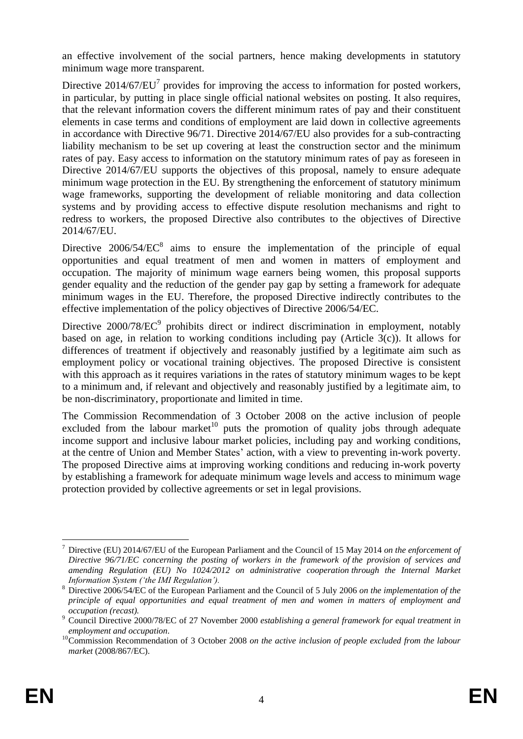an effective involvement of the social partners, hence making developments in statutory minimum wage more transparent.

Directive  $2014/67/EU<sup>7</sup>$  provides for improving the access to information for posted workers, in particular, by putting in place single official national websites on posting. It also requires, that the relevant information covers the different minimum rates of pay and their constituent elements in case terms and conditions of employment are laid down in collective agreements in accordance with Directive 96/71. Directive 2014/67/EU also provides for a sub-contracting liability mechanism to be set up covering at least the construction sector and the minimum rates of pay. Easy access to information on the statutory minimum rates of pay as foreseen in Directive 2014/67/EU supports the objectives of this proposal, namely to ensure adequate minimum wage protection in the EU. By strengthening the enforcement of statutory minimum wage frameworks, supporting the development of reliable monitoring and data collection systems and by providing access to effective dispute resolution mechanisms and right to redress to workers, the proposed Directive also contributes to the objectives of Directive 2014/67/EU.

Directive  $2006/54/EC^8$  aims to ensure the implementation of the principle of equal opportunities and equal treatment of men and women in matters of employment and occupation. The majority of minimum wage earners being women, this proposal supports gender equality and the reduction of the gender pay gap by setting a framework for adequate minimum wages in the EU. Therefore, the proposed Directive indirectly contributes to the effective implementation of the policy objectives of Directive 2006/54/EC.

Directive  $2000/78/EC^9$  prohibits direct or indirect discrimination in employment, notably based on age, in relation to working conditions including pay (Article 3(c)). It allows for differences of treatment if objectively and reasonably justified by a legitimate aim such as employment policy or vocational training objectives. The proposed Directive is consistent with this approach as it requires variations in the rates of statutory minimum wages to be kept to a minimum and, if relevant and objectively and reasonably justified by a legitimate aim, to be non-discriminatory, proportionate and limited in time.

The Commission Recommendation of 3 October 2008 on the active inclusion of people excluded from the labour market<sup>10</sup> puts the promotion of quality jobs through adequate income support and inclusive labour market policies, including pay and working conditions, at the centre of Union and Member States' action, with a view to preventing in-work poverty. The proposed Directive aims at improving working conditions and reducing in-work poverty by establishing a framework for adequate minimum wage levels and access to minimum wage protection provided by collective agreements or set in legal provisions.

<sup>1</sup> <sup>7</sup> Directive (EU) 2014/67/EU of the European Parliament and the Council of 15 May 2014 *on the enforcement of Directive 96/71/EC concerning the posting of workers in the framework of the provision of services and amending Regulation (EU) No 1024/2012 on administrative cooperation through the Internal Market Information System ('the IMI Regulation').*

<sup>8</sup> Directive 2006/54/EC of the European Parliament and the Council of 5 July 2006 *on the implementation of the principle of equal opportunities and equal treatment of men and women in matters of employment and occupation (recast).*

<sup>9</sup> Council Directive 2000/78/EC of 27 November 2000 *establishing a general framework for equal treatment in employment and occupation*.

<sup>&</sup>lt;sup>10</sup>Commission Recommendation of 3 October 2008 *on the active inclusion of people excluded from the labour market* (2008/867/EC).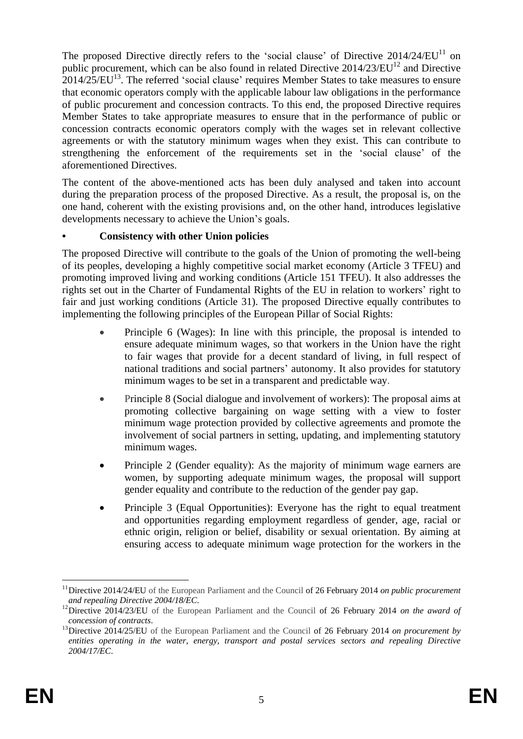The proposed Directive directly refers to the 'social clause' of Directive  $2014/24/EU<sup>11</sup>$  on public procurement, which can be also found in related Directive  $2014/23/EU<sup>12</sup>$  and Directive  $2014/25/EU<sup>13</sup>$ . The referred 'social clause' requires Member States to take measures to ensure that economic operators comply with the applicable labour law obligations in the performance of public procurement and concession contracts. To this end, the proposed Directive requires Member States to take appropriate measures to ensure that in the performance of public or concession contracts economic operators comply with the wages set in relevant collective agreements or with the statutory minimum wages when they exist. This can contribute to strengthening the enforcement of the requirements set in the 'social clause' of the aforementioned Directives.

The content of the above-mentioned acts has been duly analysed and taken into account during the preparation process of the proposed Directive. As a result, the proposal is, on the one hand, coherent with the existing provisions and, on the other hand, introduces legislative developments necessary to achieve the Union's goals.

# **• Consistency with other Union policies**

The proposed Directive will contribute to the goals of the Union of promoting the well-being of its peoples, developing a highly competitive social market economy (Article 3 TFEU) and promoting improved living and working conditions (Article 151 TFEU). It also addresses the rights set out in the Charter of Fundamental Rights of the EU in relation to workers' right to fair and just working conditions (Article 31). The proposed Directive equally contributes to implementing the following principles of the European Pillar of Social Rights:

- Principle 6 (Wages): In line with this principle, the proposal is intended to ensure adequate minimum wages, so that workers in the Union have the right to fair wages that provide for a decent standard of living, in full respect of national traditions and social partners' autonomy. It also provides for statutory minimum wages to be set in a transparent and predictable way.
- Principle 8 (Social dialogue and involvement of workers): The proposal aims at promoting collective bargaining on wage setting with a view to foster minimum wage protection provided by collective agreements and promote the involvement of social partners in setting, updating, and implementing statutory minimum wages.
- Principle 2 (Gender equality): As the majority of minimum wage earners are women, by supporting adequate minimum wages, the proposal will support gender equality and contribute to the reduction of the gender pay gap.
- Principle 3 (Equal Opportunities): Everyone has the right to equal treatment and opportunities regarding employment regardless of gender, age, racial or ethnic origin, religion or belief, disability or sexual orientation. By aiming at ensuring access to adequate minimum wage protection for the workers in the

<sup>1</sup> <sup>11</sup>Directive 2014/24/EU of the European Parliament and the Council of 26 February 2014 *on public procurement and repealing Directive 2004/18/EC*.

<sup>&</sup>lt;sup>12</sup>Directive 2014/23/EU of the European Parliament and the Council of 26 February 2014 *on the award of concession of contracts*.

<sup>&</sup>lt;sup>13</sup>Directive 2014/25/EU of the European Parliament and the Council of 26 February 2014 *on procurement by entities operating in the water, energy, transport and postal services sectors and repealing Directive 2004/17/EC*.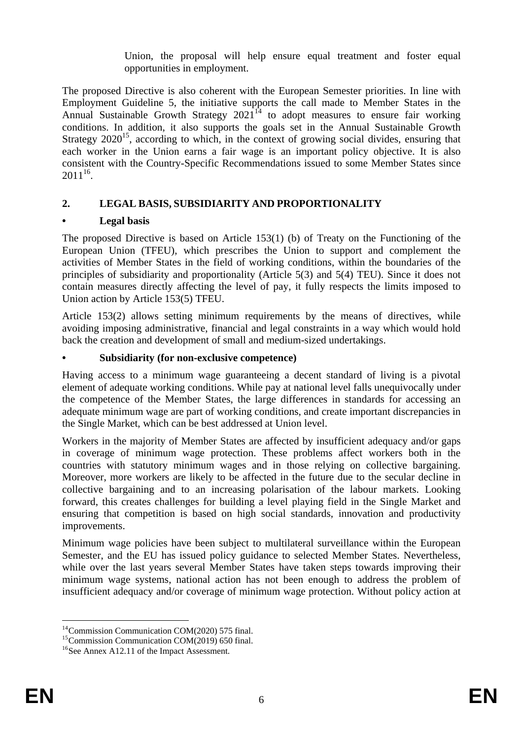Union, the proposal will help ensure equal treatment and foster equal opportunities in employment.

The proposed Directive is also coherent with the European Semester priorities. In line with Employment Guideline 5, the initiative supports the call made to Member States in the Annual Sustainable Growth Strategy  $2021^{14}$  to adopt measures to ensure fair working conditions. In addition, it also supports the goals set in the Annual Sustainable Growth Strategy  $2020^{15}$ , according to which, in the context of growing social divides, ensuring that each worker in the Union earns a fair wage is an important policy objective. It is also consistent with the Country-Specific Recommendations issued to some Member States since  $2011^{16}$ .

# **2. LEGAL BASIS, SUBSIDIARITY AND PROPORTIONALITY**

# **• Legal basis**

The proposed Directive is based on Article  $153(1)$  (b) of Treaty on the Functioning of the European Union (TFEU), which prescribes the Union to support and complement the activities of Member States in the field of working conditions, within the boundaries of the principles of subsidiarity and proportionality (Article 5(3) and 5(4) TEU). Since it does not contain measures directly affecting the level of pay, it fully respects the limits imposed to Union action by Article 153(5) TFEU.

Article 153(2) allows setting minimum requirements by the means of directives, while avoiding imposing administrative, financial and legal constraints in a way which would hold back the creation and development of small and medium-sized undertakings.

# **• Subsidiarity (for non-exclusive competence)**

Having access to a minimum wage guaranteeing a decent standard of living is a pivotal element of adequate working conditions. While pay at national level falls unequivocally under the competence of the Member States, the large differences in standards for accessing an adequate minimum wage are part of working conditions, and create important discrepancies in the Single Market, which can be best addressed at Union level.

Workers in the majority of Member States are affected by insufficient adequacy and/or gaps in coverage of minimum wage protection. These problems affect workers both in the countries with statutory minimum wages and in those relying on collective bargaining. Moreover, more workers are likely to be affected in the future due to the secular decline in collective bargaining and to an increasing polarisation of the labour markets. Looking forward, this creates challenges for building a level playing field in the Single Market and ensuring that competition is based on high social standards, innovation and productivity improvements.

Minimum wage policies have been subject to multilateral surveillance within the European Semester, and the EU has issued policy guidance to selected Member States. Nevertheless, while over the last years several Member States have taken steps towards improving their minimum wage systems, national action has not been enough to address the problem of insufficient adequacy and/or coverage of minimum wage protection. Without policy action at

<sup>&</sup>lt;u>.</u>  $14$ Commission Communication COM(2020) 575 final.

<sup>15</sup>Commission Communication COM(2019) 650 final.

<sup>&</sup>lt;sup>16</sup>See Annex A12.11 of the Impact Assessment.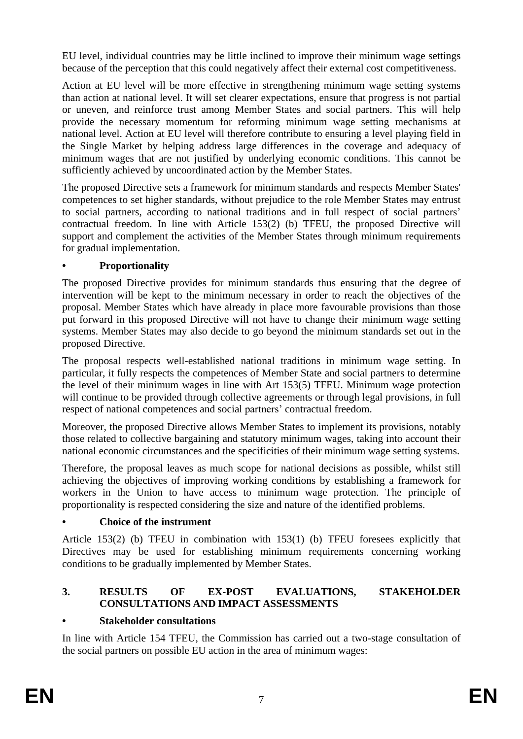EU level, individual countries may be little inclined to improve their minimum wage settings because of the perception that this could negatively affect their external cost competitiveness.

Action at EU level will be more effective in strengthening minimum wage setting systems than action at national level. It will set clearer expectations, ensure that progress is not partial or uneven, and reinforce trust among Member States and social partners. This will help provide the necessary momentum for reforming minimum wage setting mechanisms at national level. Action at EU level will therefore contribute to ensuring a level playing field in the Single Market by helping address large differences in the coverage and adequacy of minimum wages that are not justified by underlying economic conditions. This cannot be sufficiently achieved by uncoordinated action by the Member States.

The proposed Directive sets a framework for minimum standards and respects Member States' competences to set higher standards, without prejudice to the role Member States may entrust to social partners, according to national traditions and in full respect of social partners' contractual freedom. In line with Article 153(2) (b) TFEU, the proposed Directive will support and complement the activities of the Member States through minimum requirements for gradual implementation.

# **• Proportionality**

The proposed Directive provides for minimum standards thus ensuring that the degree of intervention will be kept to the minimum necessary in order to reach the objectives of the proposal. Member States which have already in place more favourable provisions than those put forward in this proposed Directive will not have to change their minimum wage setting systems. Member States may also decide to go beyond the minimum standards set out in the proposed Directive.

The proposal respects well-established national traditions in minimum wage setting. In particular, it fully respects the competences of Member State and social partners to determine the level of their minimum wages in line with Art 153(5) TFEU. Minimum wage protection will continue to be provided through collective agreements or through legal provisions, in full respect of national competences and social partners' contractual freedom.

Moreover, the proposed Directive allows Member States to implement its provisions, notably those related to collective bargaining and statutory minimum wages, taking into account their national economic circumstances and the specificities of their minimum wage setting systems.

Therefore, the proposal leaves as much scope for national decisions as possible, whilst still achieving the objectives of improving working conditions by establishing a framework for workers in the Union to have access to minimum wage protection. The principle of proportionality is respected considering the size and nature of the identified problems.

# **• Choice of the instrument**

Article 153(2) (b) TFEU in combination with 153(1) (b) TFEU foresees explicitly that Directives may be used for establishing minimum requirements concerning working conditions to be gradually implemented by Member States.

# **3. RESULTS OF EX-POST EVALUATIONS, STAKEHOLDER CONSULTATIONS AND IMPACT ASSESSMENTS**

# **• Stakeholder consultations**

In line with Article 154 TFEU, the Commission has carried out a two-stage consultation of the social partners on possible EU action in the area of minimum wages: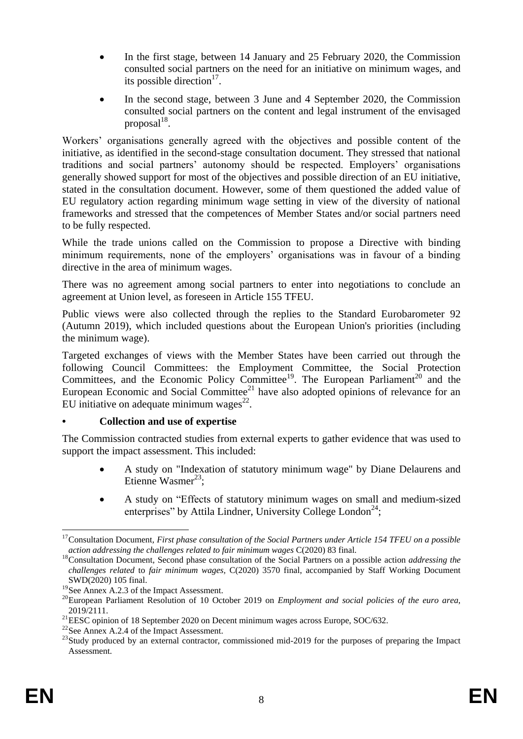- In the first stage, between 14 January and 25 February 2020, the Commission consulted social partners on the need for an initiative on minimum wages, and its possible direction $17$ .
- In the second stage, between 3 June and 4 September 2020, the Commission consulted social partners on the content and legal instrument of the envisaged  $proposal<sup>18</sup>$ .

Workers' organisations generally agreed with the objectives and possible content of the initiative, as identified in the second-stage consultation document. They stressed that national traditions and social partners' autonomy should be respected. Employers' organisations generally showed support for most of the objectives and possible direction of an EU initiative, stated in the consultation document. However, some of them questioned the added value of EU regulatory action regarding minimum wage setting in view of the diversity of national frameworks and stressed that the competences of Member States and/or social partners need to be fully respected.

While the trade unions called on the Commission to propose a Directive with binding minimum requirements, none of the employers' organisations was in favour of a binding directive in the area of minimum wages.

There was no agreement among social partners to enter into negotiations to conclude an agreement at Union level, as foreseen in Article 155 TFEU.

Public views were also collected through the replies to the Standard Eurobarometer 92 (Autumn 2019), which included questions about the European Union's priorities (including the minimum wage).

Targeted exchanges of views with the Member States have been carried out through the following Council Committees: the Employment Committee, the Social Protection Committees, and the Economic Policy Committee<sup>19</sup>. The European Parliament<sup>20</sup> and the European Economic and Social Committee<sup>21</sup> have also adopted opinions of relevance for an EU initiative on adequate minimum wages<sup>22</sup>.

# **• Collection and use of expertise**

The Commission contracted studies from external experts to gather evidence that was used to support the impact assessment. This included:

- A study on "Indexation of statutory minimum wage" by Diane Delaurens and Etienne Wasmer<sup>23</sup>;
- A study on "Effects of statutory minimum wages on small and medium-sized enterprises" by Attila Lindner, University College London<sup>24</sup>;

<u>.</u>

<sup>&</sup>lt;sup>17</sup> Consultation Document, First phase consultation of the Social Partners under Article 154 TFEU on a possible *action addressing the challenges related to fair minimum wages* C(2020) 83 final.

<sup>&</sup>lt;sup>18</sup>Consultation Document, Second phase consultation of the Social Partners on a possible action *addressing the challenges related* to *fair minimum wages,* C(2020) 3570 final, accompanied by Staff Working Document SWD(2020) 105 final.

 $^{19}$ See Annex A.2.3 of the Impact Assessment.

<sup>20</sup>European Parliament Resolution of 10 October 2019 on *Employment and social policies of the euro area*, 2019/2111.

<sup>&</sup>lt;sup>21</sup>EESC opinion of 18 September 2020 on Decent minimum wages across Europe, SOC/632.

<sup>&</sup>lt;sup>22</sup>See Annex A.2.4 of the Impact Assessment.

<sup>&</sup>lt;sup>23</sup>Study produced by an external contractor, commissioned mid-2019 for the purposes of preparing the Impact Assessment.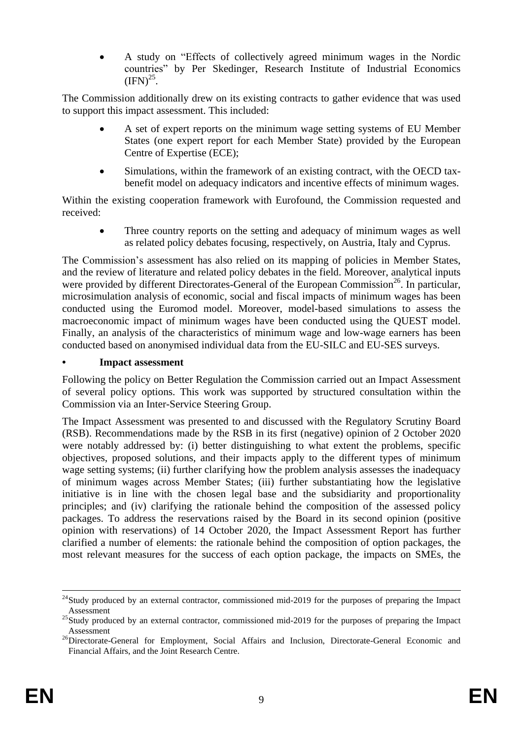A study on "Effects of collectively agreed minimum wages in the Nordic countries" by Per Skedinger, Research Institute of Industrial Economics  $\text{(IFN)}^{25}$ .

The Commission additionally drew on its existing contracts to gather evidence that was used to support this impact assessment. This included:

- A set of expert reports on the minimum wage setting systems of EU Member States (one expert report for each Member State) provided by the European Centre of Expertise (ECE);
- Simulations, within the framework of an existing contract, with the OECD taxbenefit model on adequacy indicators and incentive effects of minimum wages.

Within the existing cooperation framework with Eurofound, the Commission requested and received:

 Three country reports on the setting and adequacy of minimum wages as well as related policy debates focusing, respectively, on Austria, Italy and Cyprus.

The Commission's assessment has also relied on its mapping of policies in Member States, and the review of literature and related policy debates in the field. Moreover, analytical inputs were provided by different Directorates-General of the European Commission<sup>26</sup>. In particular, microsimulation analysis of economic, social and fiscal impacts of minimum wages has been conducted using the Euromod model. Moreover, model-based simulations to assess the macroeconomic impact of minimum wages have been conducted using the QUEST model. Finally, an analysis of the characteristics of minimum wage and low-wage earners has been conducted based on anonymised individual data from the EU-SILC and EU-SES surveys.

### **• Impact assessment**

Following the policy on Better Regulation the Commission carried out an Impact Assessment of several policy options. This work was supported by structured consultation within the Commission via an Inter-Service Steering Group.

The Impact Assessment was presented to and discussed with the Regulatory Scrutiny Board (RSB). Recommendations made by the RSB in its first (negative) opinion of 2 October 2020 were notably addressed by: (i) better distinguishing to what extent the problems, specific objectives, proposed solutions, and their impacts apply to the different types of minimum wage setting systems; (ii) further clarifying how the problem analysis assesses the inadequacy of minimum wages across Member States; (iii) further substantiating how the legislative initiative is in line with the chosen legal base and the subsidiarity and proportionality principles; and (iv) clarifying the rationale behind the composition of the assessed policy packages. To address the reservations raised by the Board in its second opinion (positive opinion with reservations) of 14 October 2020, the Impact Assessment Report has further clarified a number of elements: the rationale behind the composition of option packages, the most relevant measures for the success of each option package, the impacts on SMEs, the

<u>.</u>

 $^{24}$ Study produced by an external contractor, commissioned mid-2019 for the purposes of preparing the Impact Assessment

<sup>&</sup>lt;sup>25</sup>Study produced by an external contractor, commissioned mid-2019 for the purposes of preparing the Impact Assessment

<sup>&</sup>lt;sup>26</sup>Directorate-General for Employment, Social Affairs and Inclusion, Directorate-General Economic and Financial Affairs, and the Joint Research Centre.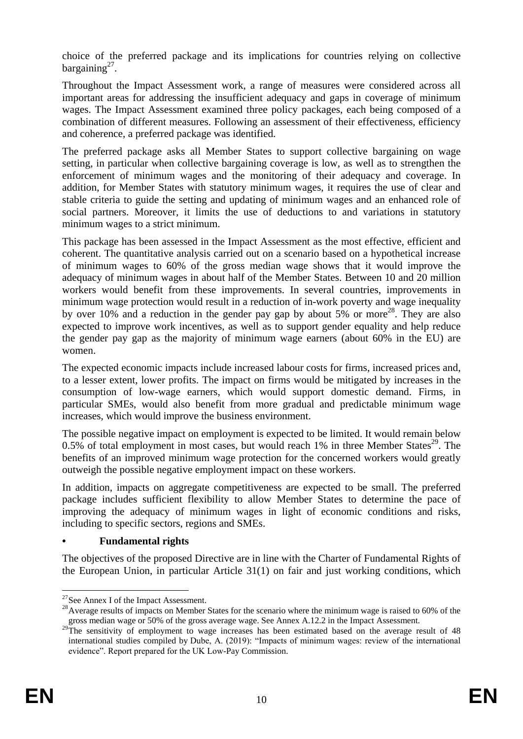choice of the preferred package and its implications for countries relying on collective bargaining $2^7$ .

Throughout the Impact Assessment work, a range of measures were considered across all important areas for addressing the insufficient adequacy and gaps in coverage of minimum wages. The Impact Assessment examined three policy packages, each being composed of a combination of different measures. Following an assessment of their effectiveness, efficiency and coherence, a preferred package was identified.

The preferred package asks all Member States to support collective bargaining on wage setting, in particular when collective bargaining coverage is low, as well as to strengthen the enforcement of minimum wages and the monitoring of their adequacy and coverage. In addition, for Member States with statutory minimum wages, it requires the use of clear and stable criteria to guide the setting and updating of minimum wages and an enhanced role of social partners. Moreover, it limits the use of deductions to and variations in statutory minimum wages to a strict minimum.

This package has been assessed in the Impact Assessment as the most effective, efficient and coherent. The quantitative analysis carried out on a scenario based on a hypothetical increase of minimum wages to 60% of the gross median wage shows that it would improve the adequacy of minimum wages in about half of the Member States. Between 10 and 20 million workers would benefit from these improvements. In several countries, improvements in minimum wage protection would result in a reduction of in-work poverty and wage inequality by over 10% and a reduction in the gender pay gap by about  $5\%$  or more<sup>28</sup>. They are also expected to improve work incentives, as well as to support gender equality and help reduce the gender pay gap as the majority of minimum wage earners (about 60% in the EU) are women.

The expected economic impacts include increased labour costs for firms, increased prices and, to a lesser extent, lower profits. The impact on firms would be mitigated by increases in the consumption of low-wage earners, which would support domestic demand. Firms, in particular SMEs, would also benefit from more gradual and predictable minimum wage increases, which would improve the business environment.

The possible negative impact on employment is expected to be limited. It would remain below  $0.5\%$  of total employment in most cases, but would reach 1% in three Member States<sup>29</sup>. The benefits of an improved minimum wage protection for the concerned workers would greatly outweigh the possible negative employment impact on these workers.

In addition, impacts on aggregate competitiveness are expected to be small. The preferred package includes sufficient flexibility to allow Member States to determine the pace of improving the adequacy of minimum wages in light of economic conditions and risks, including to specific sectors, regions and SMEs.

# **• Fundamental rights**

The objectives of the proposed Directive are in line with the Charter of Fundamental Rights of the European Union, in particular Article 31(1) on fair and just working conditions, which

<sup>&</sup>lt;u>.</u>  $27$ See Annex I of the Impact Assessment.

<sup>&</sup>lt;sup>28</sup>Average results of impacts on Member States for the scenario where the minimum wage is raised to 60% of the gross median wage or 50% of the gross average wage. See Annex A.12.2 in the Impact Assessment.

<sup>&</sup>lt;sup>29</sup>The sensitivity of employment to wage increases has been estimated based on the average result of 48 international studies compiled by Dube, A. (2019): "Impacts of minimum wages: review of the international evidence". Report prepared for the UK Low-Pay Commission.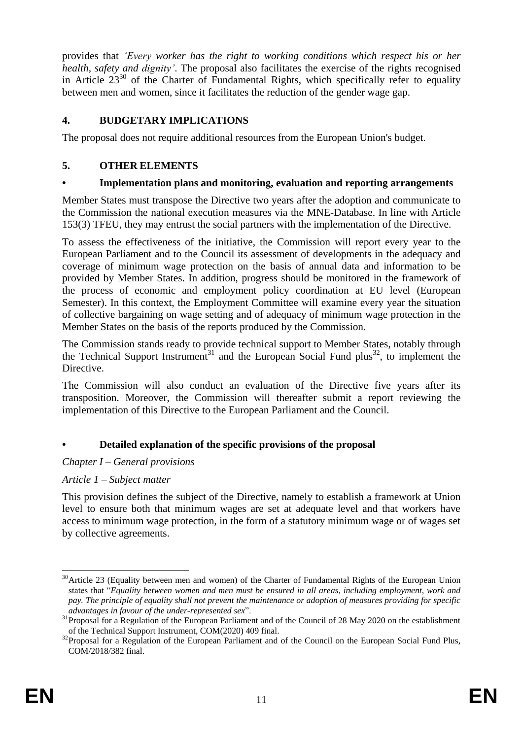provides that *'Every worker has the right to working conditions which respect his or her health, safety and dignity'*. The proposal also facilitates the exercise of the rights recognised in Article  $23^{30}$  of the Charter of Fundamental Rights, which specifically refer to equality between men and women, since it facilitates the reduction of the gender wage gap.

# **4. BUDGETARY IMPLICATIONS**

The proposal does not require additional resources from the European Union's budget.

# **5. OTHER ELEMENTS**

# **• Implementation plans and monitoring, evaluation and reporting arrangements**

Member States must transpose the Directive two years after the adoption and communicate to the Commission the national execution measures via the MNE-Database. In line with Article 153(3) TFEU, they may entrust the social partners with the implementation of the Directive.

To assess the effectiveness of the initiative, the Commission will report every year to the European Parliament and to the Council its assessment of developments in the adequacy and coverage of minimum wage protection on the basis of annual data and information to be provided by Member States. In addition, progress should be monitored in the framework of the process of economic and employment policy coordination at EU level (European Semester). In this context, the Employment Committee will examine every year the situation of collective bargaining on wage setting and of adequacy of minimum wage protection in the Member States on the basis of the reports produced by the Commission.

The Commission stands ready to provide technical support to Member States, notably through the Technical Support Instrument<sup>31</sup> and the European Social Fund plus<sup>32</sup>, to implement the Directive.

The Commission will also conduct an evaluation of the Directive five years after its transposition. Moreover, the Commission will thereafter submit a report reviewing the implementation of this Directive to the European Parliament and the Council.

# **• Detailed explanation of the specific provisions of the proposal**

# *Chapter I – General provisions*

# *Article 1 – Subject matter*

This provision defines the subject of the Directive, namely to establish a framework at Union level to ensure both that minimum wages are set at adequate level and that workers have access to minimum wage protection, in the form of a statutory minimum wage or of wages set by collective agreements.

<sup>1</sup> <sup>30</sup> Article 23 (Equality between men and women) of the Charter of Fundamental Rights of the European Union states that "*Equality between women and men must be ensured in all areas, including employment, work and pay. The principle of equality shall not prevent the maintenance or adoption of measures providing for specific advantages in favour of the under-represented sex*".

<sup>&</sup>lt;sup>31</sup>Proposal for a Regulation of the European Parliament and of the Council of 28 May 2020 on the establishment of the Technical Support Instrument, COM(2020) 409 final.

<sup>&</sup>lt;sup>32</sup>Proposal for a Regulation of the European Parliament and of the Council on the European Social Fund Plus, COM/2018/382 final.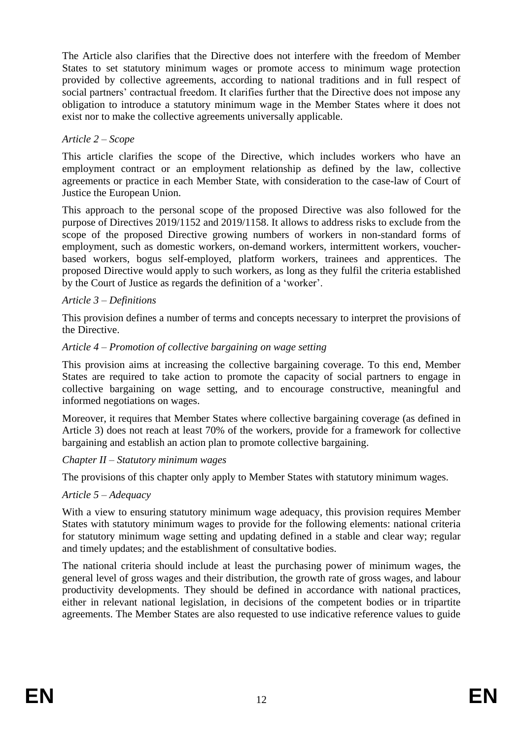The Article also clarifies that the Directive does not interfere with the freedom of Member States to set statutory minimum wages or promote access to minimum wage protection provided by collective agreements, according to national traditions and in full respect of social partners' contractual freedom. It clarifies further that the Directive does not impose any obligation to introduce a statutory minimum wage in the Member States where it does not exist nor to make the collective agreements universally applicable.

# *Article 2 – Scope*

This article clarifies the scope of the Directive, which includes workers who have an employment contract or an employment relationship as defined by the law, collective agreements or practice in each Member State, with consideration to the case-law of Court of Justice the European Union.

This approach to the personal scope of the proposed Directive was also followed for the purpose of Directives 2019/1152 and 2019/1158. It allows to address risks to exclude from the scope of the proposed Directive growing numbers of workers in non-standard forms of employment, such as domestic workers, on-demand workers, intermittent workers, voucherbased workers, bogus self-employed, platform workers, trainees and apprentices. The proposed Directive would apply to such workers, as long as they fulfil the criteria established by the Court of Justice as regards the definition of a 'worker'.

### *Article 3 – Definitions*

This provision defines a number of terms and concepts necessary to interpret the provisions of the Directive.

#### *Article 4 – Promotion of collective bargaining on wage setting*

This provision aims at increasing the collective bargaining coverage. To this end, Member States are required to take action to promote the capacity of social partners to engage in collective bargaining on wage setting, and to encourage constructive, meaningful and informed negotiations on wages.

Moreover, it requires that Member States where collective bargaining coverage (as defined in Article 3) does not reach at least 70% of the workers, provide for a framework for collective bargaining and establish an action plan to promote collective bargaining.

#### *Chapter II – Statutory minimum wages*

The provisions of this chapter only apply to Member States with statutory minimum wages.

# *Article 5 – Adequacy*

With a view to ensuring statutory minimum wage adequacy, this provision requires Member States with statutory minimum wages to provide for the following elements: national criteria for statutory minimum wage setting and updating defined in a stable and clear way; regular and timely updates; and the establishment of consultative bodies.

The national criteria should include at least the purchasing power of minimum wages, the general level of gross wages and their distribution, the growth rate of gross wages, and labour productivity developments. They should be defined in accordance with national practices, either in relevant national legislation, in decisions of the competent bodies or in tripartite agreements. The Member States are also requested to use indicative reference values to guide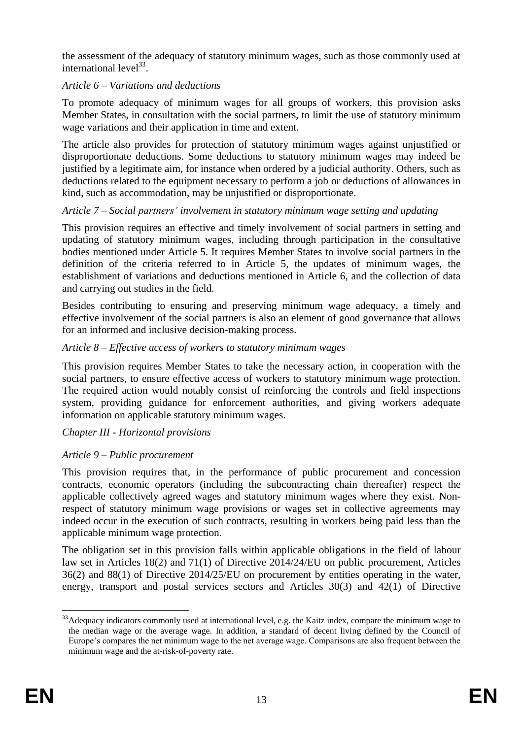the assessment of the adequacy of statutory minimum wages, such as those commonly used at international level $^{33}$ .

# *Article 6 – Variations and deductions*

To promote adequacy of minimum wages for all groups of workers, this provision asks Member States, in consultation with the social partners, to limit the use of statutory minimum wage variations and their application in time and extent.

The article also provides for protection of statutory minimum wages against unjustified or disproportionate deductions. Some deductions to statutory minimum wages may indeed be justified by a legitimate aim, for instance when ordered by a judicial authority. Others, such as deductions related to the equipment necessary to perform a job or deductions of allowances in kind, such as accommodation, may be unjustified or disproportionate.

# *Article 7 – Social partners' involvement in statutory minimum wage setting and updating*

This provision requires an effective and timely involvement of social partners in setting and updating of statutory minimum wages, including through participation in the consultative bodies mentioned under Article 5. It requires Member States to involve social partners in the definition of the criteria referred to in Article 5, the updates of minimum wages, the establishment of variations and deductions mentioned in Article 6, and the collection of data and carrying out studies in the field.

Besides contributing to ensuring and preserving minimum wage adequacy, a timely and effective involvement of the social partners is also an element of good governance that allows for an informed and inclusive decision-making process.

# *Article 8 – Effective access of workers to statutory minimum wages*

This provision requires Member States to take the necessary action, in cooperation with the social partners, to ensure effective access of workers to statutory minimum wage protection. The required action would notably consist of reinforcing the controls and field inspections system, providing guidance for enforcement authorities, and giving workers adequate information on applicable statutory minimum wages.

# *Chapter III - Horizontal provisions*

# *Article 9 – Public procurement*

This provision requires that, in the performance of public procurement and concession contracts, economic operators (including the subcontracting chain thereafter) respect the applicable collectively agreed wages and statutory minimum wages where they exist. Nonrespect of statutory minimum wage provisions or wages set in collective agreements may indeed occur in the execution of such contracts, resulting in workers being paid less than the applicable minimum wage protection.

The obligation set in this provision falls within applicable obligations in the field of labour law set in Articles 18(2) and 71(1) of Directive 2014/24/EU on public procurement, Articles 36(2) and 88(1) of Directive 2014/25/EU on procurement by entities operating in the water, energy, transport and postal services sectors and Articles 30(3) and 42(1) of Directive

<sup>1</sup> <sup>33</sup>Adequacy indicators commonly used at international level, e.g. the Kaitz index, compare the minimum wage to the median wage or the average wage. In addition, a standard of decent living defined by the Council of Europe's compares the net minimum wage to the net average wage. Comparisons are also frequent between the minimum wage and the at-risk-of-poverty rate.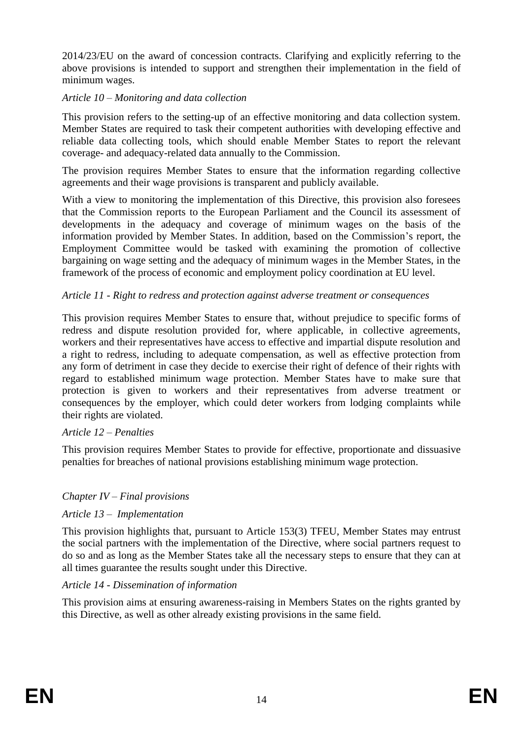2014/23/EU on the award of concession contracts. Clarifying and explicitly referring to the above provisions is intended to support and strengthen their implementation in the field of minimum wages.

### *Article 10 – Monitoring and data collection*

This provision refers to the setting-up of an effective monitoring and data collection system. Member States are required to task their competent authorities with developing effective and reliable data collecting tools, which should enable Member States to report the relevant coverage- and adequacy-related data annually to the Commission.

The provision requires Member States to ensure that the information regarding collective agreements and their wage provisions is transparent and publicly available.

With a view to monitoring the implementation of this Directive, this provision also foresees that the Commission reports to the European Parliament and the Council its assessment of developments in the adequacy and coverage of minimum wages on the basis of the information provided by Member States. In addition, based on the Commission's report, the Employment Committee would be tasked with examining the promotion of collective bargaining on wage setting and the adequacy of minimum wages in the Member States, in the framework of the process of economic and employment policy coordination at EU level.

# *Article 11 - Right to redress and protection against adverse treatment or consequences*

This provision requires Member States to ensure that, without prejudice to specific forms of redress and dispute resolution provided for, where applicable, in collective agreements, workers and their representatives have access to effective and impartial dispute resolution and a right to redress, including to adequate compensation, as well as effective protection from any form of detriment in case they decide to exercise their right of defence of their rights with regard to established minimum wage protection. Member States have to make sure that protection is given to workers and their representatives from adverse treatment or consequences by the employer, which could deter workers from lodging complaints while their rights are violated.

# *Article 12 – Penalties*

This provision requires Member States to provide for effective, proportionate and dissuasive penalties for breaches of national provisions establishing minimum wage protection.

# *Chapter IV – Final provisions*

# *Article 13 – Implementation*

This provision highlights that, pursuant to Article 153(3) TFEU, Member States may entrust the social partners with the implementation of the Directive, where social partners request to do so and as long as the Member States take all the necessary steps to ensure that they can at all times guarantee the results sought under this Directive.

#### *Article 14 - Dissemination of information*

This provision aims at ensuring awareness-raising in Members States on the rights granted by this Directive, as well as other already existing provisions in the same field.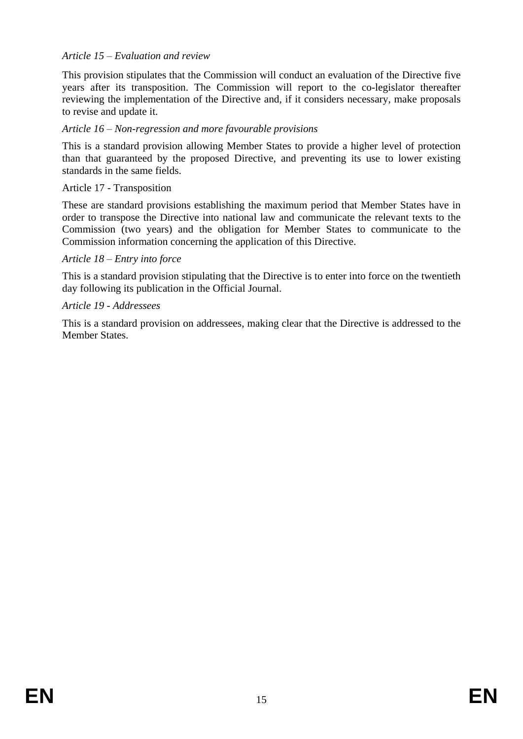### *Article 15 – Evaluation and review*

This provision stipulates that the Commission will conduct an evaluation of the Directive five years after its transposition. The Commission will report to the co-legislator thereafter reviewing the implementation of the Directive and, if it considers necessary, make proposals to revise and update it.

### *Article 16 – Non-regression and more favourable provisions*

This is a standard provision allowing Member States to provide a higher level of protection than that guaranteed by the proposed Directive, and preventing its use to lower existing standards in the same fields.

#### Article 17 - Transposition

These are standard provisions establishing the maximum period that Member States have in order to transpose the Directive into national law and communicate the relevant texts to the Commission (two years) and the obligation for Member States to communicate to the Commission information concerning the application of this Directive.

#### *Article 18 – Entry into force*

This is a standard provision stipulating that the Directive is to enter into force on the twentieth day following its publication in the Official Journal.

### *Article 19 - Addressees*

This is a standard provision on addressees, making clear that the Directive is addressed to the Member States.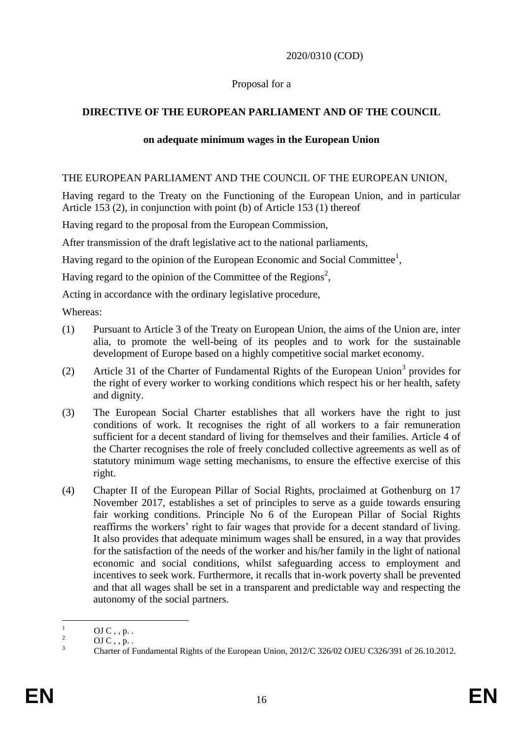### 2020/0310 (COD)

### Proposal for a

# **DIRECTIVE OF THE EUROPEAN PARLIAMENT AND OF THE COUNCIL**

### **on adequate minimum wages in the European Union**

### THE EUROPEAN PARLIAMENT AND THE COUNCIL OF THE EUROPEAN UNION,

Having regard to the Treaty on the Functioning of the European Union, and in particular Article 153 (2), in conjunction with point (b) of Article 153 (1) thereof

Having regard to the proposal from the European Commission,

After transmission of the draft legislative act to the national parliaments,

Having regard to the opinion of the European Economic and Social Committee<sup>1</sup>,

Having regard to the opinion of the Committee of the Regions<sup>2</sup>,

Acting in accordance with the ordinary legislative procedure,

Whereas:

- (1) Pursuant to Article 3 of the Treaty on European Union, the aims of the Union are, inter alia, to promote the well-being of its peoples and to work for the sustainable development of Europe based on a highly competitive social market economy.
- (2) Article 31 of the Charter of Fundamental Rights of the European Union<sup>3</sup> provides for the right of every worker to working conditions which respect his or her health, safety and dignity.
- (3) The European Social Charter establishes that all workers have the right to just conditions of work. It recognises the right of all workers to a fair remuneration sufficient for a decent standard of living for themselves and their families. Article 4 of the Charter recognises the role of freely concluded collective agreements as well as of statutory minimum wage setting mechanisms, to ensure the effective exercise of this right.
- (4) Chapter II of the European Pillar of Social Rights, proclaimed at Gothenburg on 17 November 2017, establishes a set of principles to serve as a guide towards ensuring fair working conditions. Principle No 6 of the European Pillar of Social Rights reaffirms the workers' right to fair wages that provide for a decent standard of living. It also provides that adequate minimum wages shall be ensured, in a way that provides for the satisfaction of the needs of the worker and his/her family in the light of national economic and social conditions, whilst safeguarding access to employment and incentives to seek work. Furthermore, it recalls that in-work poverty shall be prevented and that all wages shall be set in a transparent and predictable way and respecting the autonomy of the social partners.

 $\overline{1}$  $\frac{1}{2}$  OJ C, , p. .

 $\frac{2}{3}$  OJ C, , p. .

<sup>3</sup> Charter of Fundamental Rights of the European Union, 2012/C 326/02 OJEU C326/391 of 26.10.2012.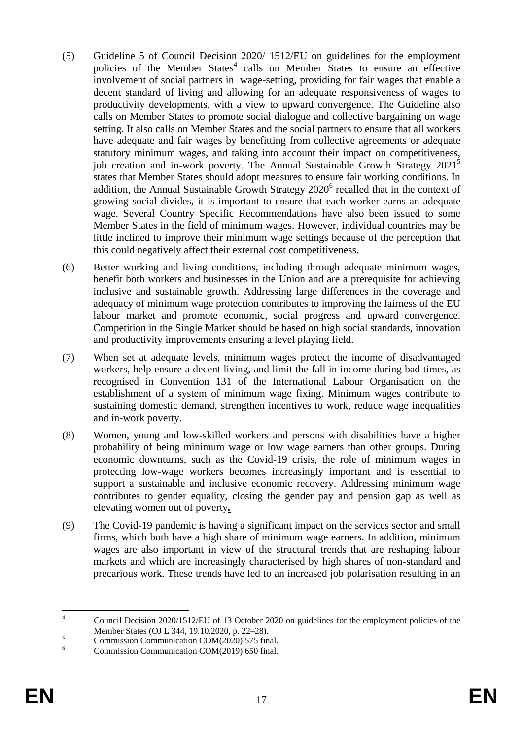- (5) Guideline 5 of Council Decision 2020/ 1512/EU on guidelines for the employment policies of the Member States<sup>4</sup> calls on Member States to ensure an effective involvement of social partners in wage-setting, providing for fair wages that enable a decent standard of living and allowing for an adequate responsiveness of wages to productivity developments, with a view to upward convergence. The Guideline also calls on Member States to promote social dialogue and collective bargaining on wage setting. It also calls on Member States and the social partners to ensure that all workers have adequate and fair wages by benefitting from collective agreements or adequate statutory minimum wages, and taking into account their impact on competitiveness, job creation and in-work poverty. The Annual Sustainable Growth Strategy 2021<sup>5</sup> states that Member States should adopt measures to ensure fair working conditions. In addition, the Annual Sustainable Growth Strategy  $2020^6$  recalled that in the context of growing social divides, it is important to ensure that each worker earns an adequate wage. Several Country Specific Recommendations have also been issued to some Member States in the field of minimum wages. However, individual countries may be little inclined to improve their minimum wage settings because of the perception that this could negatively affect their external cost competitiveness.
- (6) Better working and living conditions, including through adequate minimum wages, benefit both workers and businesses in the Union and are a prerequisite for achieving inclusive and sustainable growth. Addressing large differences in the coverage and adequacy of minimum wage protection contributes to improving the fairness of the EU labour market and promote economic, social progress and upward convergence. Competition in the Single Market should be based on high social standards, innovation and productivity improvements ensuring a level playing field.
- (7) When set at adequate levels, minimum wages protect the income of disadvantaged workers, help ensure a decent living, and limit the fall in income during bad times, as recognised in Convention 131 of the International Labour Organisation on the establishment of a system of minimum wage fixing. Minimum wages contribute to sustaining domestic demand, strengthen incentives to work, reduce wage inequalities and in-work poverty.
- (8) Women, young and low-skilled workers and persons with disabilities have a higher probability of being minimum wage or low wage earners than other groups. During economic downturns, such as the Covid-19 crisis, the role of minimum wages in protecting low-wage workers becomes increasingly important and is essential to support a sustainable and inclusive economic recovery. Addressing minimum wage contributes to gender equality, closing the gender pay and pension gap as well as elevating women out of poverty*.*
- (9) The Covid-19 pandemic is having a significant impact on the services sector and small firms, which both have a high share of minimum wage earners. In addition, minimum wages are also important in view of the structural trends that are reshaping labour markets and which are increasingly characterised by high shares of non-standard and precarious work. These trends have led to an increased job polarisation resulting in an

 $\overline{A}$ <sup>4</sup> Council Decision 2020/1512/EU of 13 October 2020 on guidelines for the employment policies of the Member States (OJ L 344, 19.10.2020, p. 22–28).

 $5$  Commission Communication COM(2020) 575 final.<br>Communication Communication COM(2010) 550 final.

<sup>6</sup> Commission Communication COM(2019) 650 final.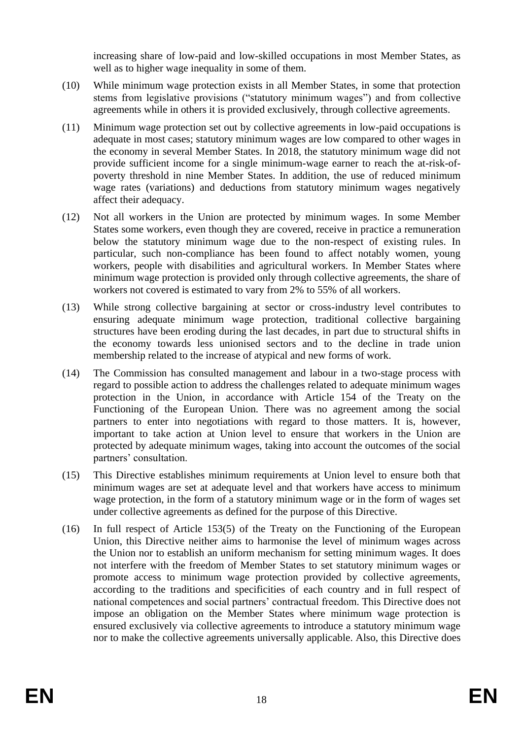increasing share of low-paid and low-skilled occupations in most Member States, as well as to higher wage inequality in some of them.

- (10) While minimum wage protection exists in all Member States, in some that protection stems from legislative provisions ("statutory minimum wages") and from collective agreements while in others it is provided exclusively, through collective agreements.
- (11) Minimum wage protection set out by collective agreements in low-paid occupations is adequate in most cases; statutory minimum wages are low compared to other wages in the economy in several Member States. In 2018, the statutory minimum wage did not provide sufficient income for a single minimum-wage earner to reach the at-risk-ofpoverty threshold in nine Member States. In addition, the use of reduced minimum wage rates (variations) and deductions from statutory minimum wages negatively affect their adequacy.
- (12) Not all workers in the Union are protected by minimum wages. In some Member States some workers, even though they are covered, receive in practice a remuneration below the statutory minimum wage due to the non-respect of existing rules. In particular, such non-compliance has been found to affect notably women, young workers, people with disabilities and agricultural workers. In Member States where minimum wage protection is provided only through collective agreements, the share of workers not covered is estimated to vary from 2% to 55% of all workers.
- (13) While strong collective bargaining at sector or cross-industry level contributes to ensuring adequate minimum wage protection, traditional collective bargaining structures have been eroding during the last decades, in part due to structural shifts in the economy towards less unionised sectors and to the decline in trade union membership related to the increase of atypical and new forms of work.
- (14) The Commission has consulted management and labour in a two-stage process with regard to possible action to address the challenges related to adequate minimum wages protection in the Union, in accordance with Article 154 of the Treaty on the Functioning of the European Union. There was no agreement among the social partners to enter into negotiations with regard to those matters. It is, however, important to take action at Union level to ensure that workers in the Union are protected by adequate minimum wages, taking into account the outcomes of the social partners' consultation.
- (15) This Directive establishes minimum requirements at Union level to ensure both that minimum wages are set at adequate level and that workers have access to minimum wage protection, in the form of a statutory minimum wage or in the form of wages set under collective agreements as defined for the purpose of this Directive.
- (16) In full respect of Article 153(5) of the Treaty on the Functioning of the European Union, this Directive neither aims to harmonise the level of minimum wages across the Union nor to establish an uniform mechanism for setting minimum wages. It does not interfere with the freedom of Member States to set statutory minimum wages or promote access to minimum wage protection provided by collective agreements, according to the traditions and specificities of each country and in full respect of national competences and social partners' contractual freedom. This Directive does not impose an obligation on the Member States where minimum wage protection is ensured exclusively via collective agreements to introduce a statutory minimum wage nor to make the collective agreements universally applicable. Also, this Directive does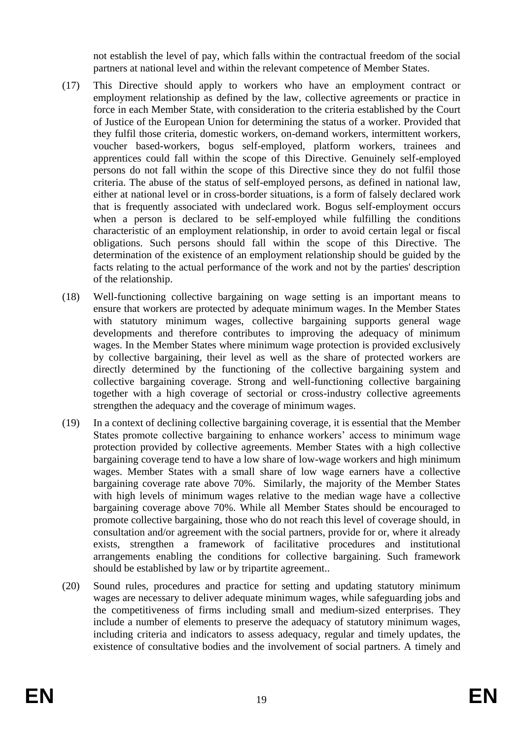not establish the level of pay, which falls within the contractual freedom of the social partners at national level and within the relevant competence of Member States.

- (17) This Directive should apply to workers who have an employment contract or employment relationship as defined by the law, collective agreements or practice in force in each Member State, with consideration to the criteria established by the Court of Justice of the European Union for determining the status of a worker. Provided that they fulfil those criteria, domestic workers, on-demand workers, intermittent workers, voucher based-workers, bogus self-employed, platform workers, trainees and apprentices could fall within the scope of this Directive. Genuinely self-employed persons do not fall within the scope of this Directive since they do not fulfil those criteria. The abuse of the status of self-employed persons, as defined in national law, either at national level or in cross-border situations, is a form of falsely declared work that is frequently associated with undeclared work. Bogus self-employment occurs when a person is declared to be self-employed while fulfilling the conditions characteristic of an employment relationship, in order to avoid certain legal or fiscal obligations. Such persons should fall within the scope of this Directive. The determination of the existence of an employment relationship should be guided by the facts relating to the actual performance of the work and not by the parties' description of the relationship.
- (18) Well-functioning collective bargaining on wage setting is an important means to ensure that workers are protected by adequate minimum wages. In the Member States with statutory minimum wages, collective bargaining supports general wage developments and therefore contributes to improving the adequacy of minimum wages. In the Member States where minimum wage protection is provided exclusively by collective bargaining, their level as well as the share of protected workers are directly determined by the functioning of the collective bargaining system and collective bargaining coverage. Strong and well-functioning collective bargaining together with a high coverage of sectorial or cross-industry collective agreements strengthen the adequacy and the coverage of minimum wages.
- (19) In a context of declining collective bargaining coverage, it is essential that the Member States promote collective bargaining to enhance workers' access to minimum wage protection provided by collective agreements. Member States with a high collective bargaining coverage tend to have a low share of low-wage workers and high minimum wages. Member States with a small share of low wage earners have a collective bargaining coverage rate above 70%. Similarly, the majority of the Member States with high levels of minimum wages relative to the median wage have a collective bargaining coverage above 70%. While all Member States should be encouraged to promote collective bargaining, those who do not reach this level of coverage should, in consultation and/or agreement with the social partners, provide for or, where it already exists, strengthen a framework of facilitative procedures and institutional arrangements enabling the conditions for collective bargaining. Such framework should be established by law or by tripartite agreement..
- (20) Sound rules, procedures and practice for setting and updating statutory minimum wages are necessary to deliver adequate minimum wages, while safeguarding jobs and the competitiveness of firms including small and medium-sized enterprises. They include a number of elements to preserve the adequacy of statutory minimum wages, including criteria and indicators to assess adequacy, regular and timely updates, the existence of consultative bodies and the involvement of social partners. A timely and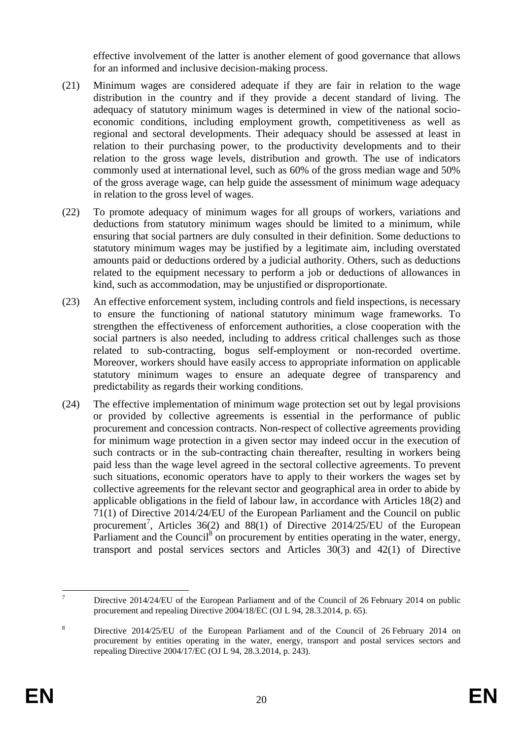effective involvement of the latter is another element of good governance that allows for an informed and inclusive decision-making process.

- (21) Minimum wages are considered adequate if they are fair in relation to the wage distribution in the country and if they provide a decent standard of living. The adequacy of statutory minimum wages is determined in view of the national socioeconomic conditions, including employment growth, competitiveness as well as regional and sectoral developments. Their adequacy should be assessed at least in relation to their purchasing power, to the productivity developments and to their relation to the gross wage levels, distribution and growth. The use of indicators commonly used at international level, such as 60% of the gross median wage and 50% of the gross average wage, can help guide the assessment of minimum wage adequacy in relation to the gross level of wages.
- (22) To promote adequacy of minimum wages for all groups of workers, variations and deductions from statutory minimum wages should be limited to a minimum, while ensuring that social partners are duly consulted in their definition. Some deductions to statutory minimum wages may be justified by a legitimate aim, including overstated amounts paid or deductions ordered by a judicial authority. Others, such as deductions related to the equipment necessary to perform a job or deductions of allowances in kind, such as accommodation, may be unjustified or disproportionate.
- (23) An effective enforcement system, including controls and field inspections, is necessary to ensure the functioning of national statutory minimum wage frameworks. To strengthen the effectiveness of enforcement authorities, a close cooperation with the social partners is also needed, including to address critical challenges such as those related to sub-contracting, bogus self-employment or non-recorded overtime. Moreover, workers should have easily access to appropriate information on applicable statutory minimum wages to ensure an adequate degree of transparency and predictability as regards their working conditions.
- (24) The effective implementation of minimum wage protection set out by legal provisions or provided by collective agreements is essential in the performance of public procurement and concession contracts. Non-respect of collective agreements providing for minimum wage protection in a given sector may indeed occur in the execution of such contracts or in the sub-contracting chain thereafter, resulting in workers being paid less than the wage level agreed in the sectoral collective agreements. To prevent such situations, economic operators have to apply to their workers the wages set by collective agreements for the relevant sector and geographical area in order to abide by applicable obligations in the field of labour law, in accordance with Articles 18(2) and 71(1) of Directive 2014/24/EU of the European Parliament and the Council on public procurement<sup>7</sup>, Articles 36(2) and 88(1) of Directive 2014/25/EU of the European Parliament and the Council<sup>8</sup> on procurement by entities operating in the water, energy, transport and postal services sectors and Articles 30(3) and 42(1) of Directive

 $\overline{7}$ <sup>7</sup> Directive 2014/24/EU of the European Parliament and of the Council of 26 February 2014 on public procurement and repealing Directive 2004/18/EC (OJ L 94, 28.3.2014, p. 65).

<sup>&</sup>lt;sup>8</sup> Directive 2014/25/EU of the European Parliament and of the Council of 26 February 2014 on procurement by entities operating in the water, energy, transport and postal services sectors and repealing Directive 2004/17/EC (OJ L 94, 28.3.2014, p. 243).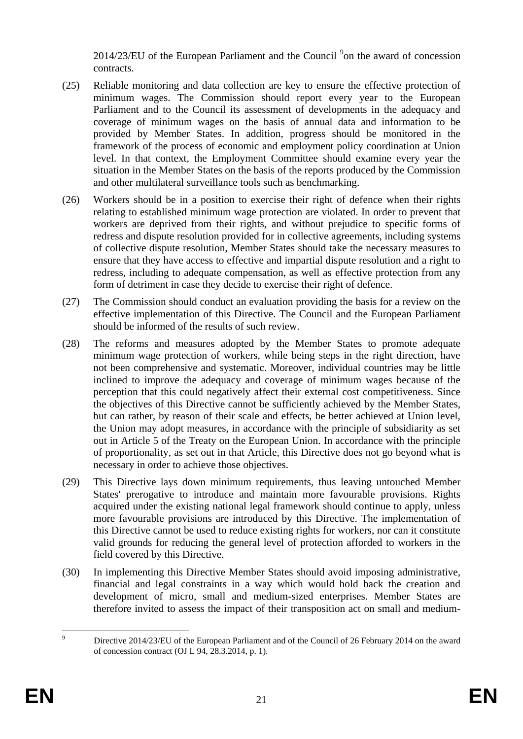$2014/23/EU$  of the European Parliament and the Council  $9$  on the award of concession contracts.

- (25) Reliable monitoring and data collection are key to ensure the effective protection of minimum wages. The Commission should report every year to the European Parliament and to the Council its assessment of developments in the adequacy and coverage of minimum wages on the basis of annual data and information to be provided by Member States. In addition, progress should be monitored in the framework of the process of economic and employment policy coordination at Union level. In that context, the Employment Committee should examine every year the situation in the Member States on the basis of the reports produced by the Commission and other multilateral surveillance tools such as benchmarking.
- (26) Workers should be in a position to exercise their right of defence when their rights relating to established minimum wage protection are violated. In order to prevent that workers are deprived from their rights, and without prejudice to specific forms of redress and dispute resolution provided for in collective agreements, including systems of collective dispute resolution, Member States should take the necessary measures to ensure that they have access to effective and impartial dispute resolution and a right to redress, including to adequate compensation, as well as effective protection from any form of detriment in case they decide to exercise their right of defence.
- (27) The Commission should conduct an evaluation providing the basis for a review on the effective implementation of this Directive. The Council and the European Parliament should be informed of the results of such review.
- (28) The reforms and measures adopted by the Member States to promote adequate minimum wage protection of workers, while being steps in the right direction, have not been comprehensive and systematic. Moreover, individual countries may be little inclined to improve the adequacy and coverage of minimum wages because of the perception that this could negatively affect their external cost competitiveness. Since the objectives of this Directive cannot be sufficiently achieved by the Member States, but can rather, by reason of their scale and effects, be better achieved at Union level, the Union may adopt measures, in accordance with the principle of subsidiarity as set out in Article 5 of the Treaty on the European Union. In accordance with the principle of proportionality, as set out in that Article, this Directive does not go beyond what is necessary in order to achieve those objectives.
- (29) This Directive lays down minimum requirements, thus leaving untouched Member States' prerogative to introduce and maintain more favourable provisions. Rights acquired under the existing national legal framework should continue to apply, unless more favourable provisions are introduced by this Directive. The implementation of this Directive cannot be used to reduce existing rights for workers, nor can it constitute valid grounds for reducing the general level of protection afforded to workers in the field covered by this Directive.
- (30) In implementing this Directive Member States should avoid imposing administrative, financial and legal constraints in a way which would hold back the creation and development of micro, small and medium-sized enterprises. Member States are therefore invited to assess the impact of their transposition act on small and medium-

 $\overline{9}$ Directive 2014/23/EU of the European Parliament and of the Council of 26 February 2014 on the award of concession contract (OJ L 94, 28.3.2014, p. 1).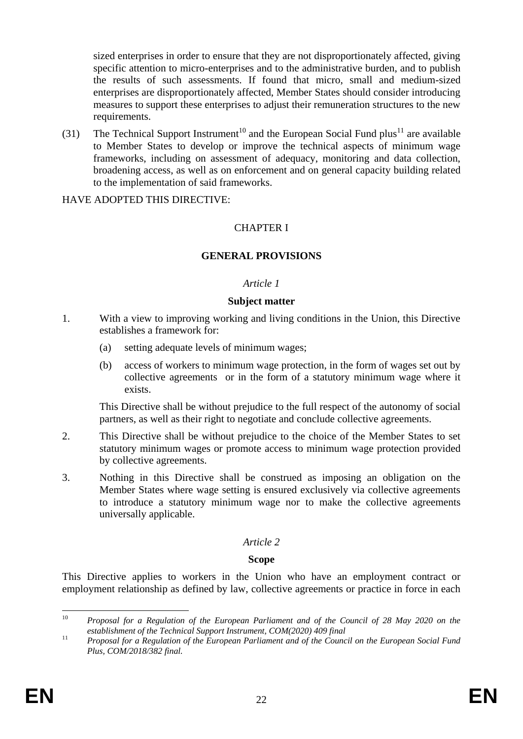sized enterprises in order to ensure that they are not disproportionately affected, giving specific attention to micro-enterprises and to the administrative burden, and to publish the results of such assessments. If found that micro, small and medium-sized enterprises are disproportionately affected, Member States should consider introducing measures to support these enterprises to adjust their remuneration structures to the new requirements.

(31) The Technical Support Instrument<sup>10</sup> and the European Social Fund plus<sup>11</sup> are available to Member States to develop or improve the technical aspects of minimum wage frameworks, including on assessment of adequacy, monitoring and data collection, broadening access, as well as on enforcement and on general capacity building related to the implementation of said frameworks.

#### HAVE ADOPTED THIS DIRECTIVE:

# CHAPTER I

# **GENERAL PROVISIONS**

### *Article 1*

#### **Subject matter**

- 1. With a view to improving working and living conditions in the Union, this Directive establishes a framework for:
	- (a) setting adequate levels of minimum wages;
	- (b) access of workers to minimum wage protection, in the form of wages set out by collective agreements or in the form of a statutory minimum wage where it exists.

This Directive shall be without prejudice to the full respect of the autonomy of social partners, as well as their right to negotiate and conclude collective agreements.

- 2. This Directive shall be without prejudice to the choice of the Member States to set statutory minimum wages or promote access to minimum wage protection provided by collective agreements.
- 3. Nothing in this Directive shall be construed as imposing an obligation on the Member States where wage setting is ensured exclusively via collective agreements to introduce a statutory minimum wage nor to make the collective agreements universally applicable.

# *Article 2*

# **Scope**

This Directive applies to workers in the Union who have an employment contract or employment relationship as defined by law, collective agreements or practice in force in each

 $10<sup>1</sup>$ <sup>10</sup> *Proposal for a Regulation of the European Parliament and of the Council of 28 May 2020 on the establishment of the Technical Support Instrument, COM(2020) 409 final*

<sup>11</sup> *Proposal for a Regulation of the European Parliament and of the Council on the European Social Fund Plus, COM/2018/382 final.*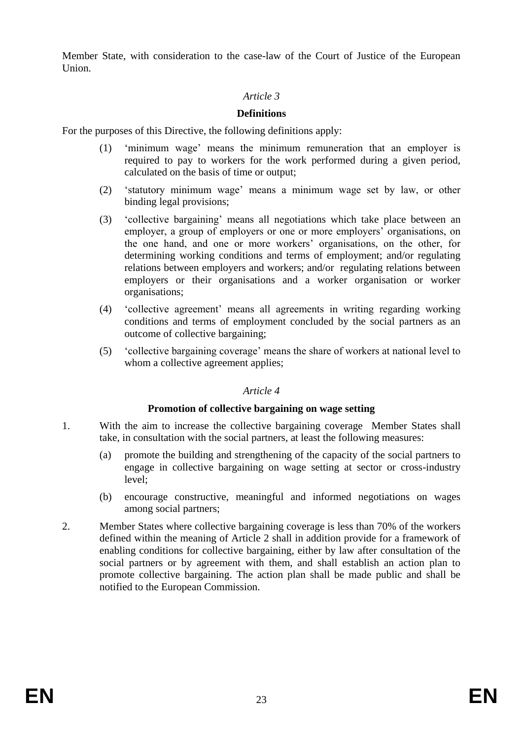Member State, with consideration to the case-law of the Court of Justice of the European Union.

# *Article 3*

### **Definitions**

For the purposes of this Directive, the following definitions apply:

- (1) 'minimum wage' means the minimum remuneration that an employer is required to pay to workers for the work performed during a given period, calculated on the basis of time or output;
- (2) 'statutory minimum wage' means a minimum wage set by law, or other binding legal provisions;
- (3) 'collective bargaining' means all negotiations which take place between an employer, a group of employers or one or more employers' organisations, on the one hand, and one or more workers' organisations, on the other, for determining working conditions and terms of employment; and/or regulating relations between employers and workers; and/or regulating relations between employers or their organisations and a worker organisation or worker organisations;
- (4) 'collective agreement' means all agreements in writing regarding working conditions and terms of employment concluded by the social partners as an outcome of collective bargaining;
- (5) 'collective bargaining coverage' means the share of workers at national level to whom a collective agreement applies;

#### *Article 4*

#### **Promotion of collective bargaining on wage setting**

- 1. With the aim to increase the collective bargaining coverage Member States shall take, in consultation with the social partners, at least the following measures:
	- (a) promote the building and strengthening of the capacity of the social partners to engage in collective bargaining on wage setting at sector or cross-industry level;
	- (b) encourage constructive, meaningful and informed negotiations on wages among social partners;
- 2. Member States where collective bargaining coverage is less than 70% of the workers defined within the meaning of Article 2 shall in addition provide for a framework of enabling conditions for collective bargaining, either by law after consultation of the social partners or by agreement with them, and shall establish an action plan to promote collective bargaining. The action plan shall be made public and shall be notified to the European Commission.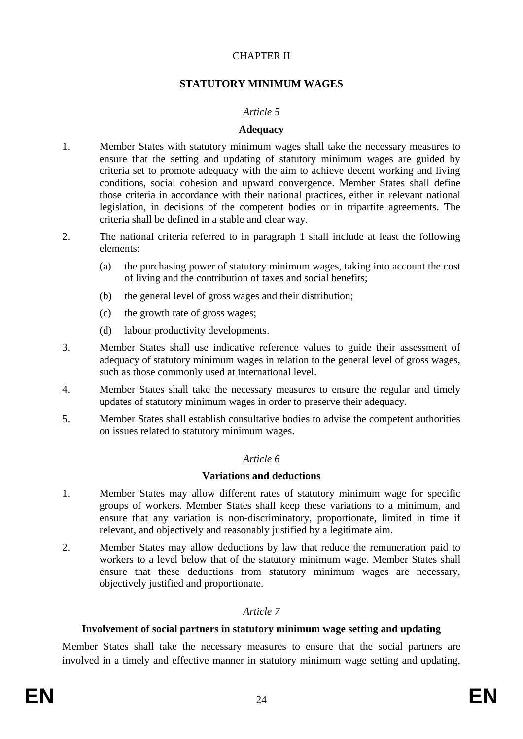# CHAPTER II

# **STATUTORY MINIMUM WAGES**

### *Article 5*

#### **Adequacy**

- 1. Member States with statutory minimum wages shall take the necessary measures to ensure that the setting and updating of statutory minimum wages are guided by criteria set to promote adequacy with the aim to achieve decent working and living conditions, social cohesion and upward convergence. Member States shall define those criteria in accordance with their national practices, either in relevant national legislation, in decisions of the competent bodies or in tripartite agreements. The criteria shall be defined in a stable and clear way.
- 2. The national criteria referred to in paragraph 1 shall include at least the following elements:
	- (a) the purchasing power of statutory minimum wages, taking into account the cost of living and the contribution of taxes and social benefits;
	- (b) the general level of gross wages and their distribution;
	- (c) the growth rate of gross wages;
	- (d) labour productivity developments.
- 3. Member States shall use indicative reference values to guide their assessment of adequacy of statutory minimum wages in relation to the general level of gross wages, such as those commonly used at international level.
- 4. Member States shall take the necessary measures to ensure the regular and timely updates of statutory minimum wages in order to preserve their adequacy.
- 5. Member States shall establish consultative bodies to advise the competent authorities on issues related to statutory minimum wages.

#### *Article 6*

#### **Variations and deductions**

- 1. Member States may allow different rates of statutory minimum wage for specific groups of workers. Member States shall keep these variations to a minimum, and ensure that any variation is non-discriminatory, proportionate, limited in time if relevant, and objectively and reasonably justified by a legitimate aim.
- 2. Member States may allow deductions by law that reduce the remuneration paid to workers to a level below that of the statutory minimum wage. Member States shall ensure that these deductions from statutory minimum wages are necessary, objectively justified and proportionate.

#### *Article 7*

#### **Involvement of social partners in statutory minimum wage setting and updating**

Member States shall take the necessary measures to ensure that the social partners are involved in a timely and effective manner in statutory minimum wage setting and updating,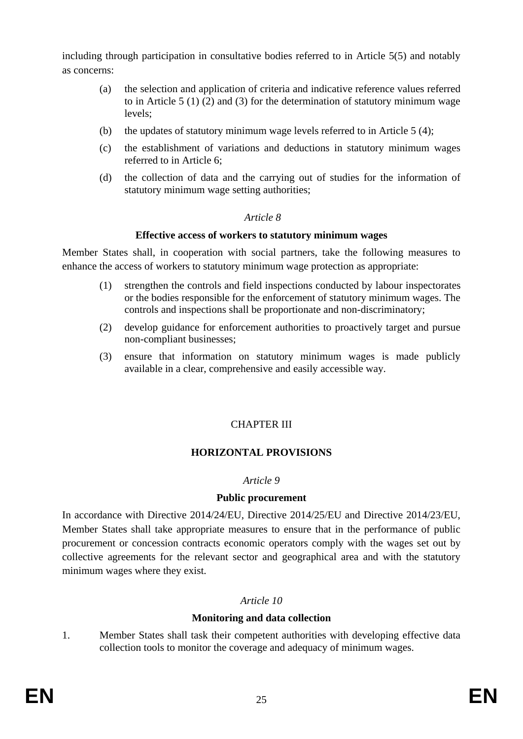including through participation in consultative bodies referred to in Article 5(5) and notably as concerns:

- (a) the selection and application of criteria and indicative reference values referred to in Article 5 (1) (2) and (3) for the determination of statutory minimum wage levels;
- (b) the updates of statutory minimum wage levels referred to in Article 5 (4);
- (c) the establishment of variations and deductions in statutory minimum wages referred to in Article 6;
- (d) the collection of data and the carrying out of studies for the information of statutory minimum wage setting authorities;

# *Article 8*

# **Effective access of workers to statutory minimum wages**

Member States shall, in cooperation with social partners, take the following measures to enhance the access of workers to statutory minimum wage protection as appropriate:

- (1) strengthen the controls and field inspections conducted by labour inspectorates or the bodies responsible for the enforcement of statutory minimum wages. The controls and inspections shall be proportionate and non-discriminatory;
- (2) develop guidance for enforcement authorities to proactively target and pursue non-compliant businesses;
- (3) ensure that information on statutory minimum wages is made publicly available in a clear, comprehensive and easily accessible way.

# CHAPTER III

# **HORIZONTAL PROVISIONS**

# *Article 9*

# **Public procurement**

In accordance with Directive 2014/24/EU, Directive 2014/25/EU and Directive 2014/23/EU, Member States shall take appropriate measures to ensure that in the performance of public procurement or concession contracts economic operators comply with the wages set out by collective agreements for the relevant sector and geographical area and with the statutory minimum wages where they exist.

# *Article 10*

# **Monitoring and data collection**

1. Member States shall task their competent authorities with developing effective data collection tools to monitor the coverage and adequacy of minimum wages.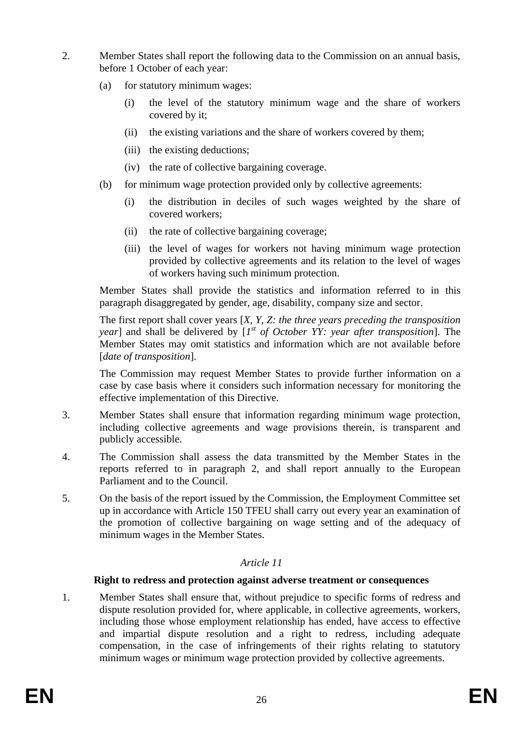- 2. Member States shall report the following data to the Commission on an annual basis, before 1 October of each year:
	- (a) for statutory minimum wages:
		- (i) the level of the statutory minimum wage and the share of workers covered by it;
		- (ii) the existing variations and the share of workers covered by them;
		- (iii) the existing deductions;
		- (iv) the rate of collective bargaining coverage.
	- (b) for minimum wage protection provided only by collective agreements:
		- (i) the distribution in deciles of such wages weighted by the share of covered workers;
		- (ii) the rate of collective bargaining coverage;
		- (iii) the level of wages for workers not having minimum wage protection provided by collective agreements and its relation to the level of wages of workers having such minimum protection.

Member States shall provide the statistics and information referred to in this paragraph disaggregated by gender, age, disability, company size and sector.

The first report shall cover years [*X, Y, Z: the three years preceding the transposition year*] and shall be delivered by [*1 st of October YY: year after transposition*]. The Member States may omit statistics and information which are not available before [*date of transposition*].

The Commission may request Member States to provide further information on a case by case basis where it considers such information necessary for monitoring the effective implementation of this Directive.

- 3. Member States shall ensure that information regarding minimum wage protection, including collective agreements and wage provisions therein, is transparent and publicly accessible.
- 4. The Commission shall assess the data transmitted by the Member States in the reports referred to in paragraph 2, and shall report annually to the European Parliament and to the Council.
- 5. On the basis of the report issued by the Commission, the Employment Committee set up in accordance with Article 150 TFEU shall carry out every year an examination of the promotion of collective bargaining on wage setting and of the adequacy of minimum wages in the Member States.

# *Article 11*

#### **Right to redress and protection against adverse treatment or consequences**

1. Member States shall ensure that, without prejudice to specific forms of redress and dispute resolution provided for, where applicable, in collective agreements, workers, including those whose employment relationship has ended, have access to effective and impartial dispute resolution and a right to redress, including adequate compensation, in the case of infringements of their rights relating to statutory minimum wages or minimum wage protection provided by collective agreements.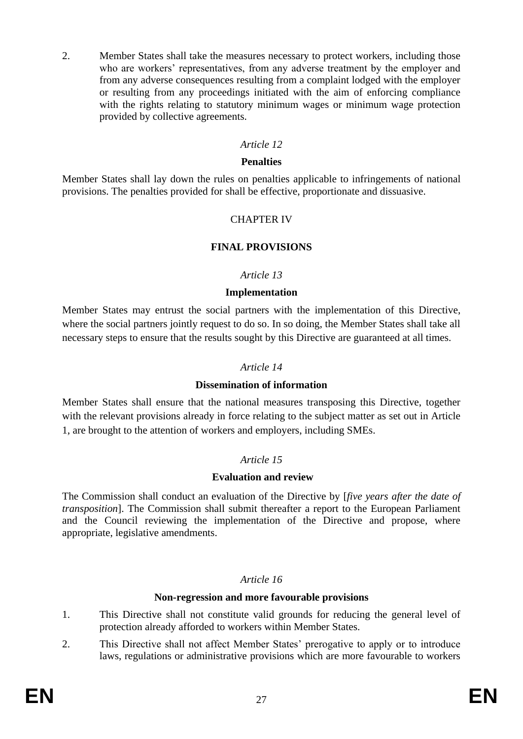2. Member States shall take the measures necessary to protect workers, including those who are workers' representatives, from any adverse treatment by the employer and from any adverse consequences resulting from a complaint lodged with the employer or resulting from any proceedings initiated with the aim of enforcing compliance with the rights relating to statutory minimum wages or minimum wage protection provided by collective agreements.

#### *Article 12*

#### **Penalties**

Member States shall lay down the rules on penalties applicable to infringements of national provisions. The penalties provided for shall be effective, proportionate and dissuasive.

#### CHAPTER IV

#### **FINAL PROVISIONS**

#### *Article 13*

#### **Implementation**

Member States may entrust the social partners with the implementation of this Directive, where the social partners jointly request to do so. In so doing, the Member States shall take all necessary steps to ensure that the results sought by this Directive are guaranteed at all times.

#### *Article 14*

#### **Dissemination of information**

Member States shall ensure that the national measures transposing this Directive, together with the relevant provisions already in force relating to the subject matter as set out in Article 1, are brought to the attention of workers and employers, including SMEs.

#### *Article 15*

#### **Evaluation and review**

The Commission shall conduct an evaluation of the Directive by [*five years after the date of transposition*]. The Commission shall submit thereafter a report to the European Parliament and the Council reviewing the implementation of the Directive and propose, where appropriate, legislative amendments.

#### *Article 16*

#### **Non-regression and more favourable provisions**

- 1. This Directive shall not constitute valid grounds for reducing the general level of protection already afforded to workers within Member States.
- 2. This Directive shall not affect Member States' prerogative to apply or to introduce laws, regulations or administrative provisions which are more favourable to workers